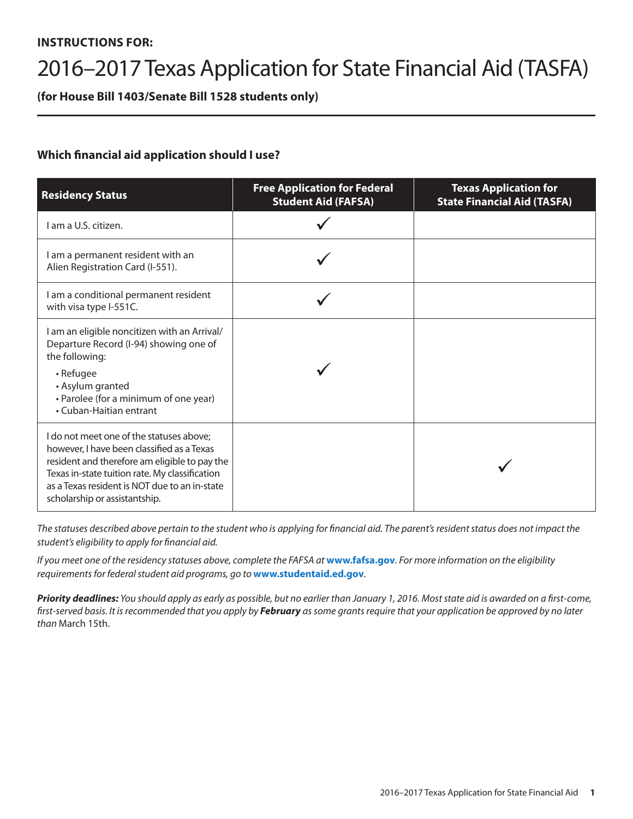# **INSTRUCTIONS FOR:**

# 2016–2017 Texas Application for State Financial Aid (TASFA)

**(for House Bill 1403/Senate Bill 1528 students only)**

# **Which financial aid application should I use?**

| <b>Residency Status</b>                                                                                                                                                                                                                                                     | <b>Free Application for Federal</b><br><b>Student Aid (FAFSA)</b> | <b>Texas Application for</b><br><b>State Financial Aid (TASFA)</b> |
|-----------------------------------------------------------------------------------------------------------------------------------------------------------------------------------------------------------------------------------------------------------------------------|-------------------------------------------------------------------|--------------------------------------------------------------------|
| I am a U.S. citizen.                                                                                                                                                                                                                                                        |                                                                   |                                                                    |
| I am a permanent resident with an<br>Alien Registration Card (I-551).                                                                                                                                                                                                       |                                                                   |                                                                    |
| I am a conditional permanent resident<br>with visa type I-551C.                                                                                                                                                                                                             |                                                                   |                                                                    |
| I am an eligible noncitizen with an Arrival/<br>Departure Record (I-94) showing one of<br>the following:<br>• Refugee<br>• Asylum granted<br>• Parolee (for a minimum of one year)<br>• Cuban-Haitian entrant                                                               |                                                                   |                                                                    |
| I do not meet one of the statuses above;<br>however, I have been classified as a Texas<br>resident and therefore am eligible to pay the<br>Texas in-state tuition rate. My classification<br>as a Texas resident is NOT due to an in-state<br>scholarship or assistantship. |                                                                   |                                                                    |

The statuses described above pertain to the student who is applying for financial aid. The parent's resident status does not impact the *student's eligibility to apply for financial aid.* 

*If you meet one of the residency statuses above, complete the FAFSA at* **www.fafsa.gov***. For more information on the eligibility requirements for federal student aid programs, go to* **www.studentaid.ed.gov***.* 

*Priority deadlines: You should apply as early as possible, but no earlier than January 1, 2016. Most state aid is awarded on a first-come, first-served basis. It is recommended that you apply by February as some grants require that your application be approved by no later than* March 15th.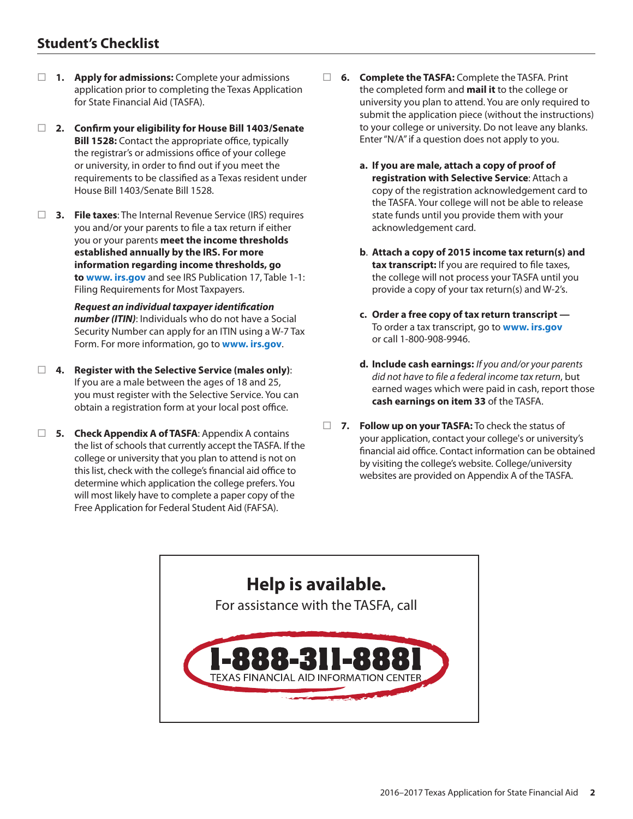# **Student's Checklist**

- **1. Apply for admissions:** Complete your admissions application prior to completing the Texas Application for State Financial Aid (TASFA).
- **2. Confirm your eligibility for House Bill 1403/Senate Bill 1528:** Contact the appropriate office, typically the registrar's or admissions office of your college or university, in order to find out if you meet the requirements to be classified as a Texas resident under House Bill 1403/Senate Bill 1528.
- **3. File taxes**: The Internal Revenue Service (IRS) requires you and/or your parents to file a tax return if either you or your parents **meet the income thresholds established annually by the IRS. For more information regarding income thresholds, go to www. irs.gov** and see IRS Publication 17, Table 1-1: Filing Requirements for Most Taxpayers.

 *Request an individual taxpayer identification number (ITIN)*: Individuals who do not have a Social Security Number can apply for an ITIN using a W-7 Tax Form. For more information, go to **www. irs.gov**.

- **4. Register with the Selective Service (males only)**: If you are a male between the ages of 18 and 25, you must register with the Selective Service. You can obtain a registration form at your local post office.
- **5. Check Appendix A of TASFA**: Appendix A contains the list of schools that currently accept the TASFA. If the college or university that you plan to attend is not on this list, check with the college's financial aid office to determine which application the college prefers. You will most likely have to complete a paper copy of the Free Application for Federal Student Aid (FAFSA).
- □ **6.** Complete the TASFA: Complete the TASFA. Print the completed form and **mail it** to the college or university you plan to attend. You are only required to submit the application piece (without the instructions) to your college or university. Do not leave any blanks. Enter "N/A" if a question does not apply to you.
	- **a. If you are male, attach a copy of proof of registration with Selective Service**: Attach a copy of the registration acknowledgement card to the TASFA. Your college will not be able to release state funds until you provide them with your acknowledgement card.
	- **b**. **Attach a copy of 2015 income tax return(s) and tax transcript:** If you are required to file taxes, the college will not process your TASFA until you provide a copy of your tax return(s) and W-2's.
	- **c. Order a free copy of tax return transcript**  To order a tax transcript, go to **www. irs.gov** or call 1-800-908-9946.
	- **d. Include cash earnings:** *If you and/or your parents did not have to file a federal income tax return*, but earned wages which were paid in cash, report those **cash earnings on item 33** of the TASFA.
- **7. Follow up on your TASFA:** To check the status of your application, contact your college's or university's financial aid office. Contact information can be obtained by visiting the college's website. College/university websites are provided on Appendix A of the TASFA.

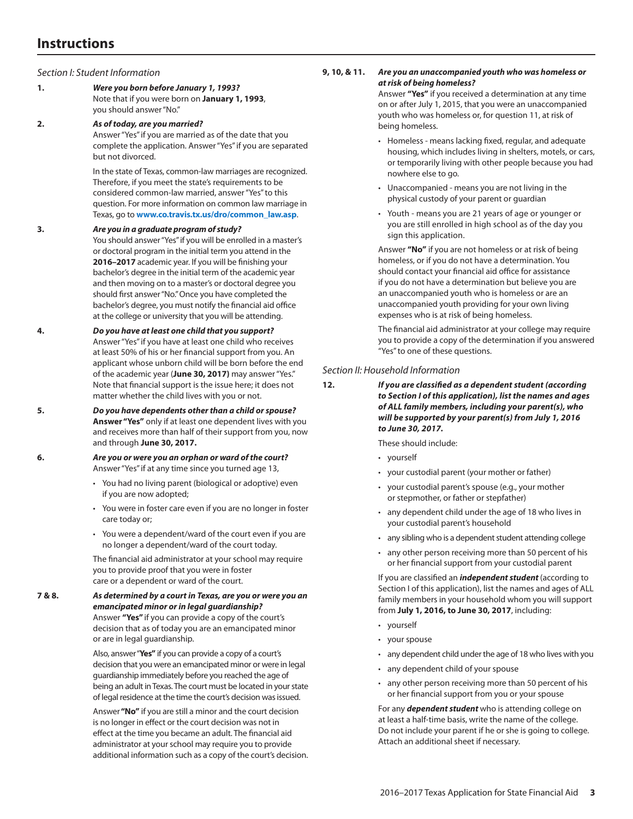# **Instructions**

*Section I: Student Information*

**1.** *Were you born before January 1, 1993?*  Note that if you were born on **January 1, 1993**, you should answer "No."

**2.** *As of today, are you married?* 

Answer "Yes" if you are married as of the date that you complete the application. Answer "Yes" if you are separated but not divorced.

In the state of Texas, common-law marriages are recognized. Therefore, if you meet the state's requirements to be considered common-law married, answer "Yes" to this question. For more information on common law marriage in Texas, go to **www.co.travis.tx.us/dro/common\_law.asp**.

## **3.** *Are you in a graduate program of study?*

You should answer "Yes" if you will be enrolled in a master's or doctoral program in the initial term you attend in the **2016–2017** academic year. If you will be finishing your bachelor's degree in the initial term of the academic year and then moving on to a master's or doctoral degree you should first answer "No." Once you have completed the bachelor's degree, you must notify the financial aid office at the college or university that you will be attending.

**4.** *Do you have at least one child that you support?*  Answer "Yes" if you have at least one child who receives at least 50% of his or her financial support from you. An applicant whose unborn child will be born before the end of the academic year (**June 30, 2017)** may answer "Yes." Note that financial support is the issue here; it does not matter whether the child lives with you or not.

- **5.** *Do you have dependents other than a child or spouse?*  **Answer "Yes"** only if at least one dependent lives with you and receives more than half of their support from you, now and through **June 30, 2017.**
- **6.** *Are you or were you an orphan or ward of the court?*  Answer "Yes" if at any time since you turned age 13,
	- You had no living parent (biological or adoptive) even if you are now adopted;
	- You were in foster care even if you are no longer in foster care today or;
	- You were a dependent/ward of the court even if you are no longer a dependent/ward of the court today.

The financial aid administrator at your school may require you to provide proof that you were in foster care or a dependent or ward of the court.

**7 & 8.** *As determined by a court in Texas, are you or were you an emancipated minor or in legal guardianship?*  Answer **"Yes"** if you can provide a copy of the court's decision that as of today you are an emancipated minor or are in legal guardianship.

> Also, answer "**Yes"** if you can provide a copy of a court's decision that you were an emancipated minor or were in legal guardianship immediately before you reached the age of being an adult in Texas. The court must be located in your state of legal residence at the time the court's decision was issued.

> Answer **"No"** if you are still a minor and the court decision is no longer in effect or the court decision was not in effect at the time you became an adult. The financial aid administrator at your school may require you to provide additional information such as a copy of the court's decision.

# **9, 10, & 11.** *Are you an unaccompanied youth who was homeless or at risk of being homeless?*

Answer **"Yes"** if you received a determination at any time on or after July 1, 2015, that you were an unaccompanied youth who was homeless or, for question 11, at risk of being homeless.

- Homeless means lacking fixed, regular, and adequate housing, which includes living in shelters, motels, or cars, or temporarily living with other people because you had nowhere else to go.
- Unaccompanied means you are not living in the physical custody of your parent or guardian
- Youth means you are 21 years of age or younger or you are still enrolled in high school as of the day you sign this application.

Answer **"No"** if you are not homeless or at risk of being homeless, or if you do not have a determination. You should contact your financial aid office for assistance if you do not have a determination but believe you are an unaccompanied youth who is homeless or are an unaccompanied youth providing for your own living expenses who is at risk of being homeless.

The financial aid administrator at your college may require you to provide a copy of the determination if you answered "Yes" to one of these questions.

# *Section II: Household Information*

**12.** *If you are classified as a dependent student (according to Section I of this application), list the names and ages of ALL family members, including your parent(s), who will be supported by your parent(s) from July 1, 2016 to June 30, 2017.*

These should include:

- yourself
- your custodial parent (your mother or father)
- your custodial parent's spouse (e.g., your mother or stepmother, or father or stepfather)
- any dependent child under the age of 18 who lives in your custodial parent's household
- any sibling who is a dependent student attending college
- any other person receiving more than 50 percent of his or her financial support from your custodial parent

If you are classified an *independent student* (according to Section I of this application), list the names and ages of ALL family members in your household whom you will support from **July 1, 2016, to June 30, 2017**, including:

- yourself
- your spouse
- any dependent child under the age of 18 who lives with you
- any dependent child of your spouse
- any other person receiving more than 50 percent of his or her financial support from you or your spouse

For any *dependent student* who is attending college on at least a half-time basis, write the name of the college. Do not include your parent if he or she is going to college. Attach an additional sheet if necessary.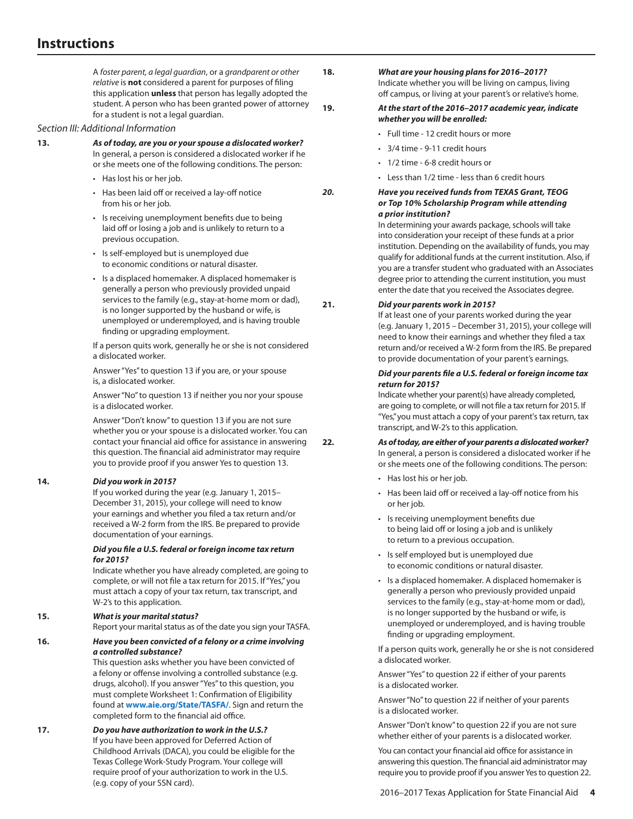A *foster parent, a legal guardian*, or a *grandparent or other relative* is **not** considered a parent for purposes of filing this application **unless** that person has legally adopted the student. A person who has been granted power of attorney for a student is not a legal guardian.

# *Section III: Additional Information*

# **13.** *As of today, are you or your spouse a dislocated worker?*  In general, a person is considered a dislocated worker if he

or she meets one of the following conditions. The person:

- Has lost his or her job.
- Has been laid off or received a lay-off notice from his or her job.
- Is receiving unemployment benefits due to being laid off or losing a job and is unlikely to return to a previous occupation.
- Is self-employed but is unemployed due to economic conditions or natural disaster.
- Is a displaced homemaker. A displaced homemaker is generally a person who previously provided unpaid services to the family (e.g., stay-at-home mom or dad), is no longer supported by the husband or wife, is unemployed or underemployed, and is having trouble finding or upgrading employment.

If a person quits work, generally he or she is not considered a dislocated worker.

Answer "Yes" to question 13 if you are, or your spouse is, a dislocated worker.

Answer "No" to question 13 if neither you nor your spouse is a dislocated worker.

Answer "Don't know" to question 13 if you are not sure whether you or your spouse is a dislocated worker. You can contact your financial aid office for assistance in answering this question. The financial aid administrator may require you to provide proof if you answer Yes to question 13.

# **14.** *Did you work in 2015?*

If you worked during the year (e.g. January 1, 2015– December 31, 2015), your college will need to know your earnings and whether you filed a tax return and/or received a W-2 form from the IRS. Be prepared to provide documentation of your earnings.

# *Did you file a U.S. federal or foreign income tax return for 2015?*

Indicate whether you have already completed, are going to complete, or will not file a tax return for 2015. If "Yes," you must attach a copy of your tax return, tax transcript, and W-2's to this application.

# **15.** *What is your marital status?*

Report your marital status as of the date you sign your TASFA.

# **16.** *Have you been convicted of a felony or a crime involving a controlled substance?*

This question asks whether you have been convicted of a felony or offense involving a controlled substance (e.g. drugs, alcohol). If you answer "Yes" to this question, you must complete Worksheet 1: Confirmation of Eligibility found at **[www.aie.org/State/TASFA/](http://www.aie.org/State/TASFA/)**. Sign and return the completed form to the financial aid office.

**17.** *Do you have authorization to work in the U.S.?* If you have been approved for Deferred Action of Childhood Arrivals (DACA), you could be eligible for the Texas College Work-Study Program. Your college will require proof of your authorization to work in the U.S. (e.g. copy of your SSN card).

**18.** *What are your housing plans for 2016–2017?*  Indicate whether you will be living on campus, living off campus, or living at your parent's or relative's home.

# **19.** *At the start of the 2016–2017 academic year, indicate whether you will be enrolled:*

- Full time 12 credit hours or more
- 3/4 time 9-11 credit hours
- 1/2 time 6-8 credit hours or
- Less than 1/2 time less than 6 credit hours

# *20. Have you received funds from TEXAS Grant, TEOG or Top 10% Scholarship Program while attending a prior institution?*

In determining your awards package, schools will take into consideration your receipt of these funds at a prior institution. Depending on the availability of funds, you may qualify for additional funds at the current institution. Also, if you are a transfer student who graduated with an Associates degree prior to attending the current institution, you must enter the date that you received the Associates degree.

# **21.** *Did your parents work in 2015?*

If at least one of your parents worked during the year (e.g. January 1, 2015 – December 31, 2015), your college will need to know their earnings and whether they filed a tax return and/or received a W-2 form from the IRS. Be prepared to provide documentation of your parent's earnings.

# *Did your parents file a U.S. federal or foreign income tax return for 2015?*

Indicate whether your parent(s) have already completed, are going to complete, or will not file a tax return for 2015. If "Yes," you must attach a copy of your parent's tax return, tax transcript, and W-2's to this application.

**22.** *As of today, are either of your parents a dislocated worker?*  In general, a person is considered a dislocated worker if he or she meets one of the following conditions. The person:

- Has lost his or her job.
- Has been laid off or received a lay-off notice from his or her job.
- Is receiving unemployment benefits due to being laid off or losing a job and is unlikely to return to a previous occupation.
- Is self employed but is unemployed due to economic conditions or natural disaster.
- Is a displaced homemaker. A displaced homemaker is generally a person who previously provided unpaid services to the family (e.g., stay-at-home mom or dad), is no longer supported by the husband or wife, is unemployed or underemployed, and is having trouble finding or upgrading employment.

If a person quits work, generally he or she is not considered a dislocated worker.

Answer "Yes" to question 22 if either of your parents is a dislocated worker.

Answer "No" to question 22 if neither of your parents is a dislocated worker.

Answer "Don't know" to question 22 if you are not sure whether either of your parents is a dislocated worker.

You can contact your financial aid office for assistance in answering this question. The financial aid administrator may require you to provide proof if you answer Yes to question 22.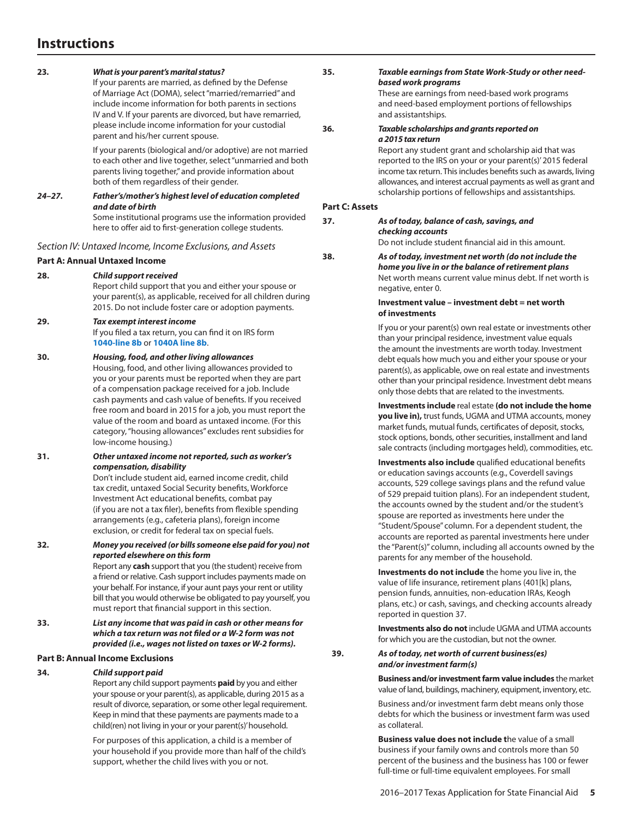# **Instructions**

## **23.** *What is your parent's marital status?*

If your parents are married, as defined by the Defense of Marriage Act (DOMA), select "married/remarried" and include income information for both parents in sections IV and V. If your parents are divorced, but have remarried, please include income information for your custodial parent and his/her current spouse.

If your parents (biological and/or adoptive) are not married to each other and live together, select "unmarried and both parents living together," and provide information about both of them regardless of their gender.

# *24–27. Father's/mother's highest level of education completed and date of birth*

Some institutional programs use the information provided here to offer aid to first-generation college students.

*Section IV: Untaxed Income, Income Exclusions, and Assets*

# **Part A: Annual Untaxed Income**

**28.** *Child support received*

Report child support that you and either your spouse or your parent(s), as applicable, received for all children during 2015. Do not include foster care or adoption payments.

#### **29.** *Tax exempt interest income* If you filed a tax return, you can find it on IRS form

**1040-line 8b** or **1040A line 8b**.

# **30.** *Housing, food, and other living allowances*

Housing, food, and other living allowances provided to you or your parents must be reported when they are part of a compensation package received for a job. Include cash payments and cash value of benefits. If you received free room and board in 2015 for a job, you must report the value of the room and board as untaxed income. (For this category, "housing allowances" excludes rent subsidies for low-income housing.)

## **31.** *Other untaxed income not reported, such as worker's compensation, disability*

Don't include student aid, earned income credit, child tax credit, untaxed Social Security benefits, Workforce Investment Act educational benefits, combat pay (if you are not a tax filer), benefits from flexible spending arrangements (e.g., cafeteria plans), foreign income exclusion, or credit for federal tax on special fuels.

**32.** *Money you received (or bills someone else paid for you) not reported elsewhere on this form* Report any **cash** support that you (the student) receive from

a friend or relative. Cash support includes payments made on your behalf. For instance, if your aunt pays your rent or utility bill that you would otherwise be obligated to pay yourself, you must report that financial support in this section.

**33.** *List any income that was paid in cash or other means for which a tax return was not filed or a W-2 form was not provided (i.e., wages not listed on taxes or W-2 forms).* 

# **Part B: Annual Income Exclusions**

## **34.** *Child support paid*

Report any child support payments **paid** by you and either your spouse or your parent(s), as applicable, during 2015 as a result of divorce, separation, or some other legal requirement. Keep in mind that these payments are payments made to a child(ren) not living in your or your parent(s)' household.

For purposes of this application, a child is a member of your household if you provide more than half of the child's support, whether the child lives with you or not.

**35.** *Taxable earnings from State Work-Study or other needbased work programs*

> These are earnings from need-based work programs and need-based employment portions of fellowships and assistantships.

#### **36.** *Taxable scholarships and grants reported on a 2015 tax return*

Report any student grant and scholarship aid that was reported to the IRS on your or your parent(s)' 2015 federal income tax return. This includes benefits such as awards, living allowances, and interest accrual payments as well as grant and scholarship portions of fellowships and assistantships.

# **Part C: Assets**

#### **37.** *As of today, balance of cash, savings, and checking accounts*

Do not include student financial aid in this amount.

**38.** *As of today, investment net worth (do not include the home you live in or the balance of retirement plans* Net worth means current value minus debt. If net worth is negative, enter 0.

## **Investment value – investment debt = net worth of investments**

If you or your parent(s) own real estate or investments other than your principal residence, investment value equals the amount the investments are worth today. Investment debt equals how much you and either your spouse or your parent(s), as applicable, owe on real estate and investments other than your principal residence. Investment debt means only those debts that are related to the investments.

**Investments include** real estate **(do not include the home you live in),** trust funds, UGMA and UTMA accounts, money market funds, mutual funds, certificates of deposit, stocks, stock options, bonds, other securities, installment and land sale contracts (including mortgages held), commodities, etc.

**Investments also include** qualified educational benefits or education savings accounts (e.g., Coverdell savings accounts, 529 college savings plans and the refund value of 529 prepaid tuition plans). For an independent student, the accounts owned by the student and/or the student's spouse are reported as investments here under the "Student/Spouse" column. For a dependent student, the accounts are reported as parental investments here under the "Parent(s)" column, including all accounts owned by the parents for any member of the household.

**Investments do not include** the home you live in, the value of life insurance, retirement plans (401[k] plans, pension funds, annuities, non-education IRAs, Keogh plans, etc.) or cash, savings, and checking accounts already reported in question 37.

**Investments also do not** include UGMA and UTMA accounts for which you are the custodian, but not the owner.

**39.** *As of today, net worth of current business(es) and/or investment farm(s)*

> **Business and/or investment farm value includes** the market value of land, buildings, machinery, equipment, inventory, etc.

Business and/or investment farm debt means only those debts for which the business or investment farm was used as collateral.

**Business value does not include t**he value of a small business if your family owns and controls more than 50 percent of the business and the business has 100 or fewer full-time or full-time equivalent employees. For small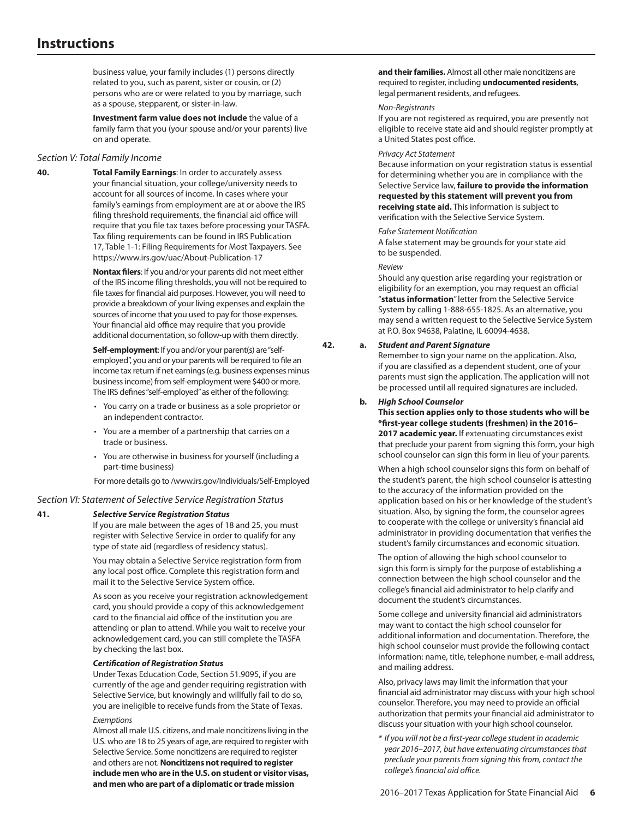business value, your family includes (1) persons directly related to you, such as parent, sister or cousin, or (2) persons who are or were related to you by marriage, such as a spouse, stepparent, or sister-in-law.

**Investment farm value does not include** the value of a family farm that you (your spouse and/or your parents) live on and operate.

#### *Section V: Total Family Income*

**40. Total Family Earnings**: In order to accurately assess your financial situation, your college/university needs to account for all sources of income. In cases where your family's earnings from employment are at or above the IRS filing threshold requirements, the financial aid office will require that you file tax taxes before processing your TASFA. Tax filing requirements can be found in IRS Publication 17, Table 1-1: Filing Requirements for Most Taxpayers. See https://www.irs.gov/uac/About-Publication-17

> **Nontax filers**: If you and/or your parents did not meet either of the IRS income filing thresholds, you will not be required to file taxes for financial aid purposes. However, you will need to provide a breakdown of your living expenses and explain the sources of income that you used to pay for those expenses. Your financial aid office may require that you provide additional documentation, so follow-up with them directly.

**Self-employment:** If you and/or your parent(s) are "selfemployed", you and or your parents will be required to file an income tax return if net earnings (e.g. business expenses minus business income) from self-employment were \$400 or more. The IRS defines "self-employed" as either of the following:

- You carry on a trade or business as a sole proprietor or an independent contractor.
- You are a member of a partnership that carries on a trade or business.
- You are otherwise in business for yourself (including a part-time business)

For more details go to /www.irs.gov/Individuals/Self-Employed

#### *Section VI: Statement of Selective Service Registration Status*

#### **41.** *Selective Service Registration Status*

If you are male between the ages of 18 and 25, you must register with Selective Service in order to qualify for any type of state aid (regardless of residency status).

You may obtain a Selective Service registration form from any local post office. Complete this registration form and mail it to the Selective Service System office.

As soon as you receive your registration acknowledgement card, you should provide a copy of this acknowledgement card to the financial aid office of the institution you are attending or plan to attend. While you wait to receive your acknowledgement card, you can still complete the TASFA by checking the last box.

#### *Certification of Registration Status*

Under Texas Education Code, Section 51.9095, if you are currently of the age and gender requiring registration with Selective Service, but knowingly and willfully fail to do so, you are ineligible to receive funds from the State of Texas.

## *Exemptions*

Almost all male U.S. citizens, and male noncitizens living in the U.S. who are 18 to 25 years of age, are required to register with Selective Service. Some noncitizens are required to register and others are not. **Noncitizens not required to register include men who are in the U.S. on student or visitor visas, and men who are part of a diplomatic or trade mission** 

**and their families.** Almost all other male noncitizens are required to register, including **undocumented residents**, legal permanent residents, and refugees.

#### *Non-Registrants*

If you are not registered as required, you are presently not eligible to receive state aid and should register promptly at a United States post office.

#### *Privacy Act Statement*

Because information on your registration status is essential for determining whether you are in compliance with the Selective Service law, **failure to provide the information requested by this statement will prevent you from receiving state aid.** This information is subject to verification with the Selective Service System.

#### *False Statement Notification*

A false statement may be grounds for your state aid to be suspended.

#### *Review*

Should any question arise regarding your registration or eligibility for an exemption, you may request an official "**status information**" letter from the Selective Service System by calling 1-888-655-1825. As an alternative, you may send a written request to the Selective Service System at P.O. Box 94638, Palatine, IL 60094-4638.

## **42. a.** *Student and Parent Signature*

Remember to sign your name on the application. Also, if you are classified as a dependent student, one of your parents must sign the application. The application will not be processed until all required signatures are included.

#### **b.** *High School Counselor*

**This section applies only to those students who will be \*first-year college students (freshmen) in the 2016– 2017 academic year.** If extenuating circumstances exist that preclude your parent from signing this form, your high school counselor can sign this form in lieu of your parents.

When a high school counselor signs this form on behalf of the student's parent, the high school counselor is attesting to the accuracy of the information provided on the application based on his or her knowledge of the student's situation. Also, by signing the form, the counselor agrees to cooperate with the college or university's financial aid administrator in providing documentation that verifies the student's family circumstances and economic situation.

The option of allowing the high school counselor to sign this form is simply for the purpose of establishing a connection between the high school counselor and the college's financial aid administrator to help clarify and document the student's circumstances.

Some college and university financial aid administrators may want to contact the high school counselor for additional information and documentation. Therefore, the high school counselor must provide the following contact information: name, title, telephone number, e-mail address, and mailing address.

Also, privacy laws may limit the information that your financial aid administrator may discuss with your high school counselor. Therefore, you may need to provide an official authorization that permits your financial aid administrator to discuss your situation with your high school counselor.

*\* If you will not be a first-year college student in academic year 2016–2017, but have extenuating circumstances that preclude your parents from signing this from, contact the college's financial aid office.*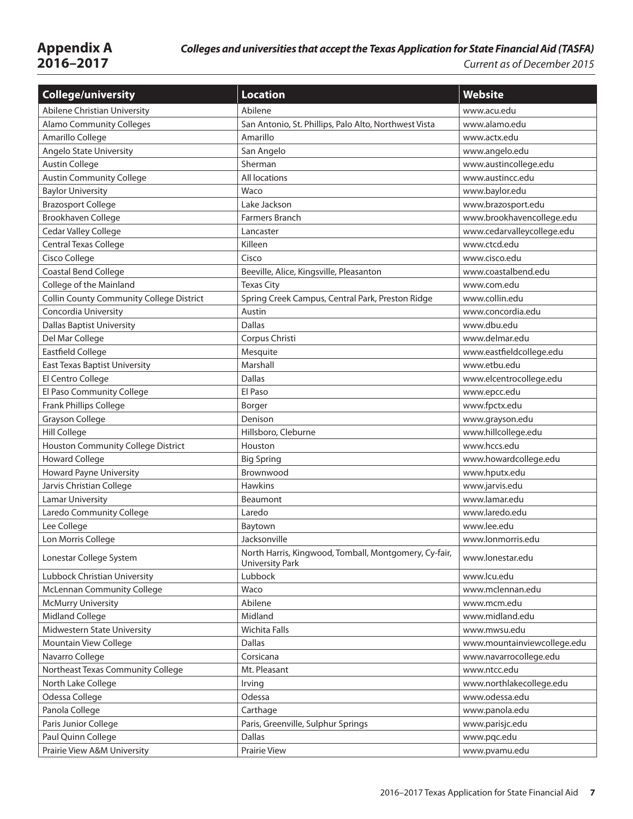| <b>College/university</b>                       | <b>Location</b>                                                                 | <b>Website</b>              |
|-------------------------------------------------|---------------------------------------------------------------------------------|-----------------------------|
| Abilene Christian University                    | Abilene                                                                         | www.acu.edu                 |
| <b>Alamo Community Colleges</b>                 | San Antonio, St. Phillips, Palo Alto, Northwest Vista                           | www.alamo.edu               |
| Amarillo College                                | Amarillo                                                                        | www.actx.edu                |
| Angelo State University                         | San Angelo                                                                      | www.angelo.edu              |
| <b>Austin College</b>                           | Sherman                                                                         | www.austincollege.edu       |
| <b>Austin Community College</b>                 | All locations                                                                   | www.austincc.edu            |
| <b>Baylor University</b>                        | Waco                                                                            | www.baylor.edu              |
| <b>Brazosport College</b>                       | Lake Jackson                                                                    | www.brazosport.edu          |
| Brookhaven College                              | <b>Farmers Branch</b>                                                           | www.brookhavencollege.edu   |
| Cedar Valley College                            | Lancaster                                                                       | www.cedarvalleycollege.edu  |
| Central Texas College                           | Killeen                                                                         | www.ctcd.edu                |
| Cisco College                                   | Cisco                                                                           | www.cisco.edu               |
| Coastal Bend College                            | Beeville, Alice, Kingsville, Pleasanton                                         | www.coastalbend.edu         |
| College of the Mainland                         | <b>Texas City</b>                                                               | www.com.edu                 |
| <b>Collin County Community College District</b> | Spring Creek Campus, Central Park, Preston Ridge                                | www.collin.edu              |
| Concordia University                            | Austin                                                                          | www.concordia.edu           |
| <b>Dallas Baptist University</b>                | <b>Dallas</b>                                                                   | www.dbu.edu                 |
| Del Mar College                                 | Corpus Christi                                                                  | www.delmar.edu              |
| <b>Eastfield College</b>                        | Mesquite                                                                        | www.eastfieldcollege.edu    |
| <b>East Texas Baptist University</b>            | Marshall                                                                        | www.etbu.edu                |
| El Centro College                               | <b>Dallas</b>                                                                   | www.elcentrocollege.edu     |
| El Paso Community College                       | El Paso                                                                         | www.epcc.edu                |
| Frank Phillips College                          | Borger                                                                          | www.fpctx.edu               |
| <b>Grayson College</b>                          | Denison                                                                         | www.grayson.edu             |
| Hill College                                    | Hillsboro, Cleburne                                                             | www.hillcollege.edu         |
| Houston Community College District              | Houston                                                                         | www.hccs.edu                |
| <b>Howard College</b>                           | <b>Big Spring</b>                                                               | www.howardcollege.edu       |
| Howard Payne University                         | Brownwood                                                                       | www.hputx.edu               |
| Jarvis Christian College                        | <b>Hawkins</b>                                                                  | www.jarvis.edu              |
| <b>Lamar University</b>                         | Beaumont                                                                        | www.lamar.edu               |
| Laredo Community College                        | Laredo                                                                          | www.laredo.edu              |
| Lee College                                     | Baytown                                                                         | www.lee.edu                 |
| Lon Morris College                              | Jacksonville                                                                    | www.lonmorris.edu           |
| Lonestar College System                         | North Harris, Kingwood, Tomball, Montgomery, Cy-fair,<br><b>University Park</b> | www.lonestar.edu            |
| Lubbock Christian University                    | Lubbock                                                                         | www.lcu.edu                 |
| <b>McLennan Community College</b>               | Waco                                                                            | www.mclennan.edu            |
| <b>McMurry University</b>                       | Abilene                                                                         | www.mcm.edu                 |
| <b>Midland College</b>                          | Midland                                                                         | www.midland.edu             |
| Midwestern State University                     | Wichita Falls                                                                   | www.mwsu.edu                |
| Mountain View College                           | <b>Dallas</b>                                                                   | www.mountainviewcollege.edu |
| Navarro College                                 | Corsicana                                                                       | www.navarrocollege.edu      |
| Northeast Texas Community College               | Mt. Pleasant                                                                    | www.ntcc.edu                |
| North Lake College                              | Irving                                                                          | www.northlakecollege.edu    |
| Odessa College                                  | Odessa                                                                          | www.odessa.edu              |
| Panola College                                  | Carthage                                                                        | www.panola.edu              |
| Paris Junior College                            | Paris, Greenville, Sulphur Springs                                              | www.parisjc.edu             |
| Paul Quinn College                              | <b>Dallas</b>                                                                   | www.pqc.edu                 |
| Prairie View A&M University                     | Prairie View                                                                    | www.pvamu.edu               |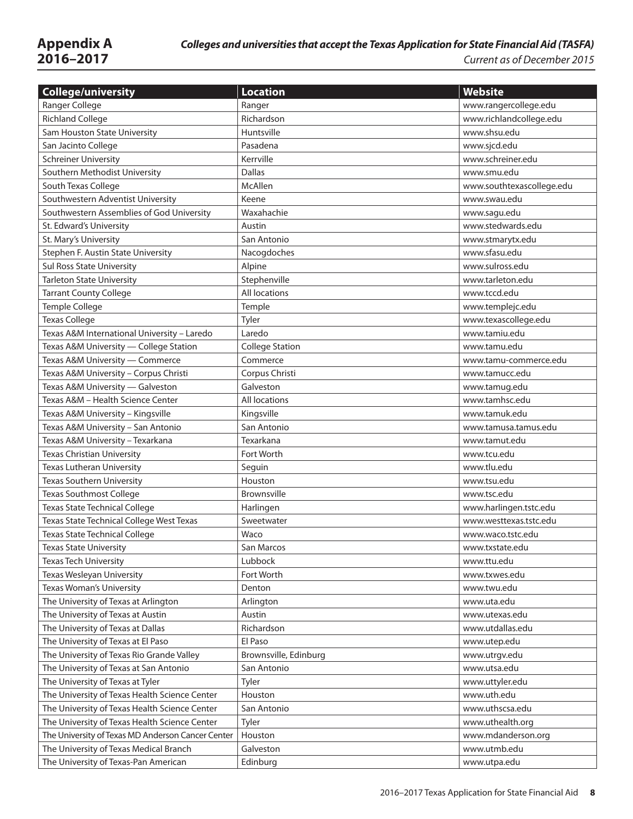**2016–2017** *Current as of December 2015*

| <b>College/university</b>                         | <b>Location</b>        | <b>Website</b>            |
|---------------------------------------------------|------------------------|---------------------------|
| Ranger College                                    | Ranger                 | www.rangercollege.edu     |
| <b>Richland College</b>                           | Richardson             | www.richlandcollege.edu   |
| Sam Houston State University                      | Huntsville             | www.shsu.edu              |
| San Jacinto College                               | Pasadena               | www.sjcd.edu              |
| <b>Schreiner University</b>                       | Kerrville              | www.schreiner.edu         |
| Southern Methodist University                     | <b>Dallas</b>          | www.smu.edu               |
| South Texas College                               | McAllen                | www.southtexascollege.edu |
| Southwestern Adventist University                 | Keene                  | www.swau.edu              |
| Southwestern Assemblies of God University         | Waxahachie             | www.sagu.edu              |
| St. Edward's University                           | Austin                 | www.stedwards.edu         |
| St. Mary's University                             | San Antonio            | www.stmarytx.edu          |
| Stephen F. Austin State University                | Nacogdoches            | www.sfasu.edu             |
| Sul Ross State University                         | Alpine                 | www.sulross.edu           |
| <b>Tarleton State University</b>                  | Stephenville           | www.tarleton.edu          |
| <b>Tarrant County College</b>                     | All locations          | www.tccd.edu              |
| Temple College                                    | Temple                 | www.templejc.edu          |
| <b>Texas College</b>                              | Tyler                  | www.texascollege.edu      |
| Texas A&M International University - Laredo       | Laredo                 | www.tamiu.edu             |
| Texas A&M University - College Station            | <b>College Station</b> | www.tamu.edu              |
| Texas A&M University - Commerce                   | Commerce               | www.tamu-commerce.edu     |
| Texas A&M University - Corpus Christi             | Corpus Christi         | www.tamucc.edu            |
| Texas A&M University — Galveston                  | Galveston              | www.tamug.edu             |
| Texas A&M - Health Science Center                 | <b>All locations</b>   | www.tamhsc.edu            |
| Texas A&M University - Kingsville                 | Kingsville             | www.tamuk.edu             |
| Texas A&M University - San Antonio                | San Antonio            | www.tamusa.tamus.edu      |
| Texas A&M University - Texarkana                  | Texarkana              | www.tamut.edu             |
| <b>Texas Christian University</b>                 | Fort Worth             | www.tcu.edu               |
| Texas Lutheran University                         | Seguin                 | www.tlu.edu               |
| <b>Texas Southern University</b>                  | Houston                | www.tsu.edu               |
| <b>Texas Southmost College</b>                    | Brownsville            | www.tsc.edu               |
| <b>Texas State Technical College</b>              | Harlingen              | www.harlingen.tstc.edu    |
| Texas State Technical College West Texas          | Sweetwater             | www.westtexas.tstc.edu    |
| <b>Texas State Technical College</b>              | Waco                   | www.waco.tstc.edu         |
| <b>Texas State University</b>                     | San Marcos             | www.txstate.edu           |
| <b>Texas Tech University</b>                      | Lubbock                | www.ttu.edu               |
| Texas Wesleyan University                         | Fort Worth             | www.txwes.edu             |
| <b>Texas Woman's University</b>                   | Denton                 | www.twu.edu               |
| The University of Texas at Arlington              | Arlington              | www.uta.edu               |
| The University of Texas at Austin                 | Austin                 | www.utexas.edu            |
| The University of Texas at Dallas                 | Richardson             | www.utdallas.edu          |
| The University of Texas at El Paso                | El Paso                | www.utep.edu              |
| The University of Texas Rio Grande Valley         | Brownsville, Edinburg  | www.utrgv.edu             |
| The University of Texas at San Antonio            | San Antonio            | www.utsa.edu              |
| The University of Texas at Tyler                  | Tyler                  | www.uttyler.edu           |
| The University of Texas Health Science Center     | Houston                | www.uth.edu               |
| The University of Texas Health Science Center     | San Antonio            | www.uthscsa.edu           |
| The University of Texas Health Science Center     | Tyler                  | www.uthealth.org          |
| The University of Texas MD Anderson Cancer Center | Houston                | www.mdanderson.org        |
| The University of Texas Medical Branch            | Galveston              | www.utmb.edu              |
| The University of Texas-Pan American              | Edinburg               | www.utpa.edu              |